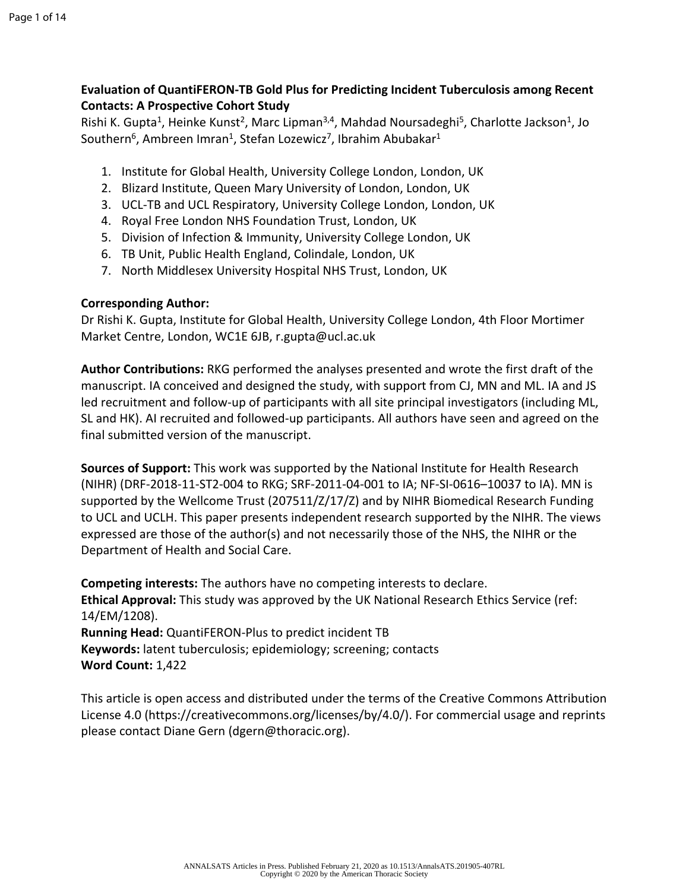# **Evaluation of QuantiFERON-TB Gold Plus for Predicting Incident Tuberculosis among Recent Contacts: A Prospective Cohort Study**

Rishi K. Gupta<sup>1</sup>, Heinke Kunst<sup>2</sup>, Marc Lipman<sup>3,4</sup>, Mahdad Noursadeghi<sup>5</sup>, Charlotte Jackson<sup>1</sup>, Jo Southern<sup>6</sup>, Ambreen Imran<sup>1</sup>, Stefan Lozewicz<sup>7</sup>, Ibrahim Abubakar<sup>1</sup>

- 1. Institute for Global Health, University College London, London, UK
- 2. Blizard Institute, Queen Mary University of London, London, UK
- 3. UCL-TB and UCL Respiratory, University College London, London, UK
- 4. Royal Free London NHS Foundation Trust, London, UK
- 5. Division of Infection & Immunity, University College London, UK
- 6. TB Unit, Public Health England, Colindale, London, UK
- 7. North Middlesex University Hospital NHS Trust, London, UK

## **Corresponding Author:**

Dr Rishi K. Gupta, Institute for Global Health, University College London, 4th Floor Mortimer Market Centre, London, WC1E 6JB, r.gupta@ucl.ac.uk

**Author Contributions:** RKG performed the analyses presented and wrote the first draft of the manuscript. IA conceived and designed the study, with support from CJ, MN and ML. IA and JS led recruitment and follow-up of participants with all site principal investigators (including ML, SL and HK). AI recruited and followed-up participants. All authors have seen and agreed on the final submitted version of the manuscript.

**Sources of Support:** This work was supported by the National Institute for Health Research (NIHR) (DRF-2018-11-ST2-004 to RKG; SRF-2011-04-001 to IA; NF-SI-0616–10037 to IA). MN is supported by the Wellcome Trust (207511/Z/17/Z) and by NIHR Biomedical Research Funding to UCL and UCLH. This paper presents independent research supported by the NIHR. The views expressed are those of the author(s) and not necessarily those of the NHS, the NIHR or the Department of Health and Social Care.

**Competing interests:** The authors have no competing interests to declare. **Ethical Approval:** This study was approved by the UK National Research Ethics Service (ref: 14/EM/1208). **Running Head:** QuantiFERON-Plus to predict incident TB **Keywords:** latent tuberculosis; epidemiology; screening; contacts **Word Count:** 1,422

This article is open access and distributed under the terms of the Creative Commons Attribution License 4.0 (https://creativecommons.org/licenses/by/4.0/). For commercial usage and reprints please contact Diane Gern (dgern@thoracic.org).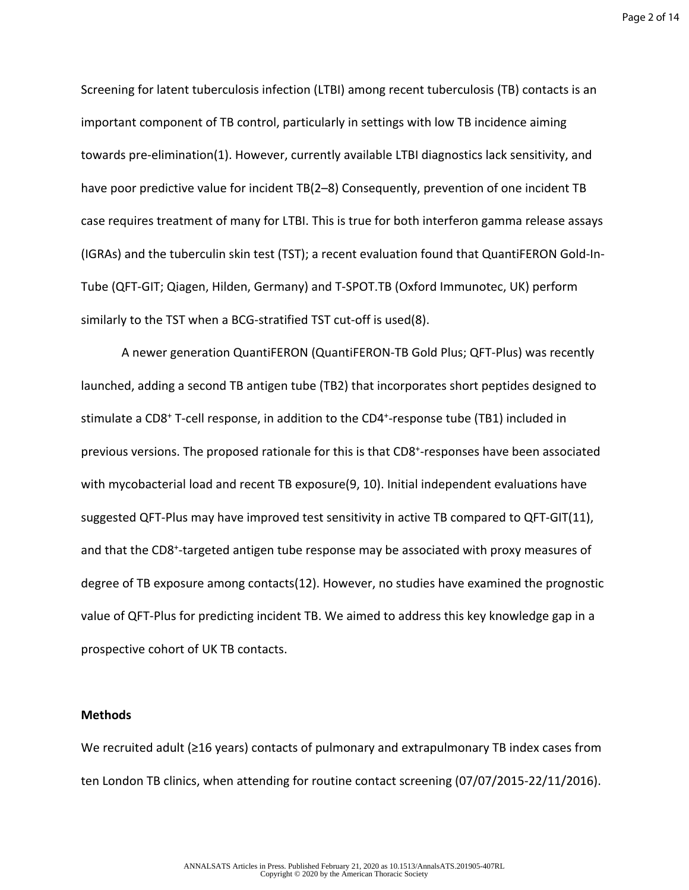Page 2 of 14

Screening for latent tuberculosis infection (LTBI) among recent tuberculosis (TB) contacts is an important component of TB control, particularly in settings with low TB incidence aiming towards pre-elimination(1). However, currently available LTBI diagnostics lack sensitivity, and have poor predictive value for incident TB(2-8) Consequently, prevention of one incident TB case requires treatment of many for LTBI. This is true for both interferon gamma release assays (IGRAs) and the tuberculin skin test (TST); a recent evaluation found that QuantiFERON Gold-In-Tube (QFT-GIT; Qiagen, Hilden, Germany) and T-SPOT.TB (Oxford Immunotec, UK) perform similarly to the TST when a BCG-stratified TST cut-off is used(8).

A newer generation QuantiFERON (QuantiFERON-TB Gold Plus; QFT-Plus) was recently launched, adding a second TB antigen tube (TB2) that incorporates short peptides designed to stimulate a CD8<sup>+</sup> T-cell response, in addition to the CD4<sup>+</sup>-response tube (TB1) included in previous versions. The proposed rationale for this is that CD8<sup>+</sup>-responses have been associated with mycobacterial load and recent TB exposure(9, 10). Initial independent evaluations have suggested QFT-Plus may have improved test sensitivity in active TB compared to QFT-GIT(11), and that the CD8<sup>+</sup>-targeted antigen tube response may be associated with proxy measures of degree of TB exposure among contacts(12). However, no studies have examined the prognostic value of QFT-Plus for predicting incident TB. We aimed to address this key knowledge gap in a prospective cohort of UK TB contacts.

### **Methods**

We recruited adult (≥16 years) contacts of pulmonary and extrapulmonary TB index cases from ten London TB clinics, when attending for routine contact screening (07/07/2015-22/11/2016).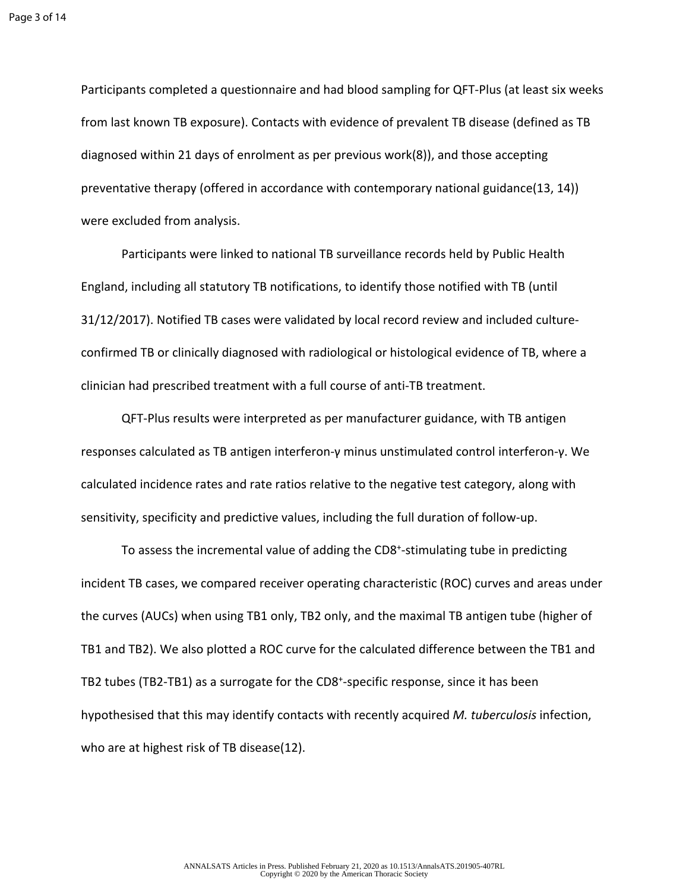Participants completed a questionnaire and had blood sampling for QFT-Plus (at least six weeks from last known TB exposure). Contacts with evidence of prevalent TB disease (defined as TB diagnosed within 21 days of enrolment as per previous work(8)), and those accepting preventative therapy (offered in accordance with contemporary national guidance(13, 14)) were excluded from analysis.

Participants were linked to national TB surveillance records held by Public Health England, including all statutory TB notifications, to identify those notified with TB (until 31/12/2017). Notified TB cases were validated by local record review and included cultureconfirmed TB or clinically diagnosed with radiological or histological evidence of TB, where a clinician had prescribed treatment with a full course of anti-TB treatment.

QFT-Plus results were interpreted as per manufacturer guidance, with TB antigen responses calculated as TB antigen interferon-γ minus unstimulated control interferon-γ. We calculated incidence rates and rate ratios relative to the negative test category, along with sensitivity, specificity and predictive values, including the full duration of follow-up.

To assess the incremental value of adding the CD8<sup>+</sup>-stimulating tube in predicting incident TB cases, we compared receiver operating characteristic (ROC) curves and areas under the curves (AUCs) when using TB1 only, TB2 only, and the maximal TB antigen tube (higher of TB1 and TB2). We also plotted a ROC curve for the calculated difference between the TB1 and TB2 tubes (TB2-TB1) as a surrogate for the CD8<sup>+</sup>-specific response, since it has been hypothesised that this may identify contacts with recently acquired *M. tuberculosis* infection, who are at highest risk of TB disease(12).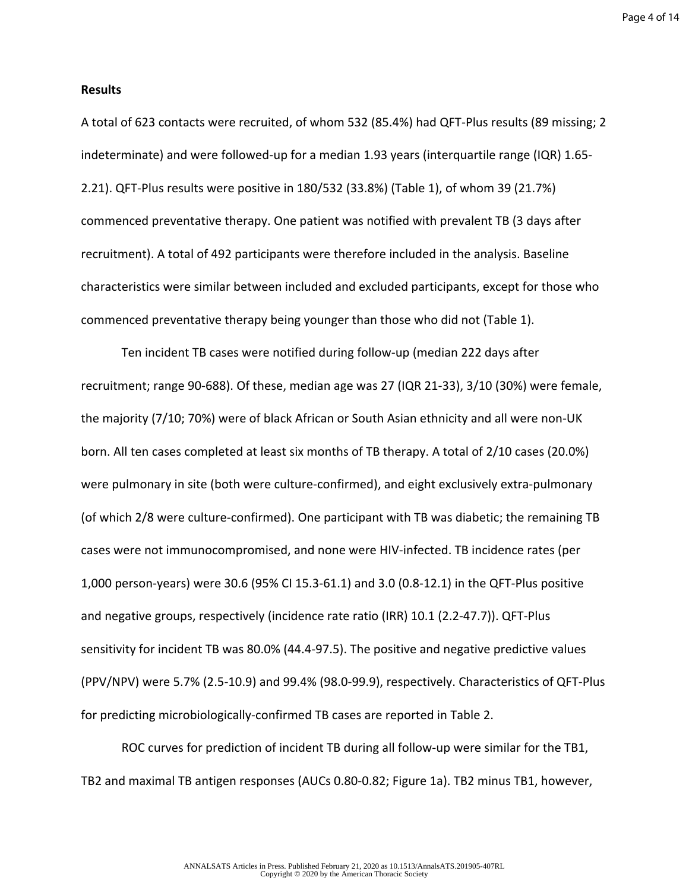Page 4 of 14

#### **Results**

A total of 623 contacts were recruited, of whom 532 (85.4%) had QFT-Plus results (89 missing; 2 indeterminate) and were followed-up for a median 1.93 years (interquartile range (IQR) 1.65- 2.21). QFT-Plus results were positive in 180/532 (33.8%) (Table 1), of whom 39 (21.7%) commenced preventative therapy. One patient was notified with prevalent TB (3 days after recruitment). A total of 492 participants were therefore included in the analysis. Baseline characteristics were similar between included and excluded participants, except for those who commenced preventative therapy being younger than those who did not (Table 1).

Ten incident TB cases were notified during follow-up (median 222 days after recruitment; range 90-688). Of these, median age was 27 (IQR 21-33), 3/10 (30%) were female, the majority (7/10; 70%) were of black African or South Asian ethnicity and all were non-UK born. All ten cases completed at least six months of TB therapy. A total of 2/10 cases (20.0%) were pulmonary in site (both were culture-confirmed), and eight exclusively extra-pulmonary (of which 2/8 were culture-confirmed). One participant with TB was diabetic; the remaining TB cases were not immunocompromised, and none were HIV-infected. TB incidence rates (per 1,000 person-years) were 30.6 (95% CI 15.3-61.1) and 3.0 (0.8-12.1) in the QFT-Plus positive and negative groups, respectively (incidence rate ratio (IRR) 10.1 (2.2-47.7)). QFT-Plus sensitivity for incident TB was 80.0% (44.4-97.5). The positive and negative predictive values (PPV/NPV) were 5.7% (2.5-10.9) and 99.4% (98.0-99.9), respectively. Characteristics of QFT-Plus for predicting microbiologically-confirmed TB cases are reported in Table 2.

ROC curves for prediction of incident TB during all follow-up were similar for the TB1, TB2 and maximal TB antigen responses (AUCs 0.80-0.82; Figure 1a). TB2 minus TB1, however,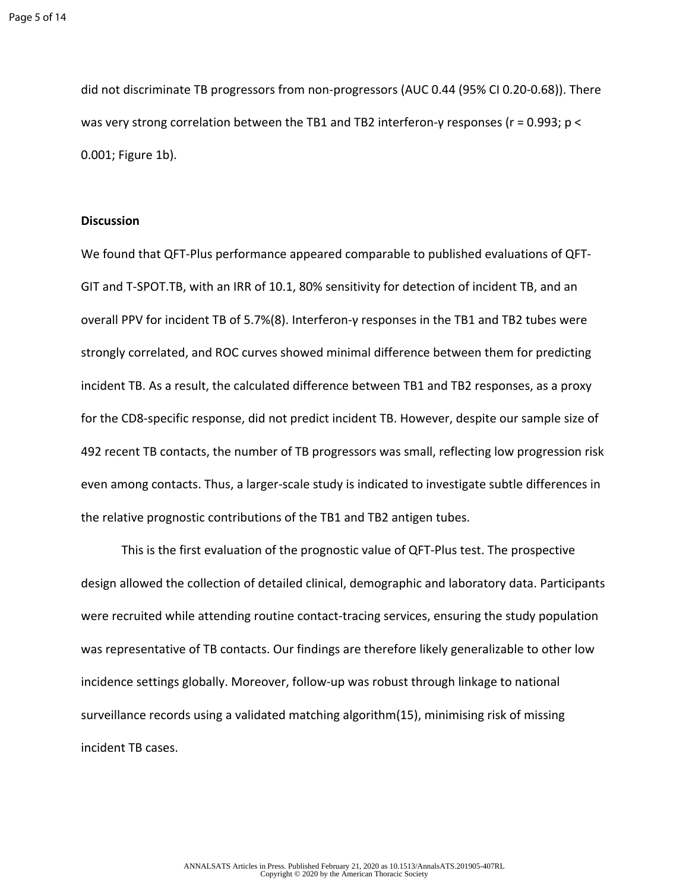did not discriminate TB progressors from non-progressors (AUC 0.44 (95% CI 0.20-0.68)). There was very strong correlation between the TB1 and TB2 interferon-γ responses (r = 0.993; p < 0.001; Figure 1b).

#### **Discussion**

We found that QFT-Plus performance appeared comparable to published evaluations of QFT-GIT and T-SPOT.TB, with an IRR of 10.1, 80% sensitivity for detection of incident TB, and an overall PPV for incident TB of 5.7%(8). Interferon-γ responses in the TB1 and TB2 tubes were strongly correlated, and ROC curves showed minimal difference between them for predicting incident TB. As a result, the calculated difference between TB1 and TB2 responses, as a proxy for the CD8-specific response, did not predict incident TB. However, despite our sample size of 492 recent TB contacts, the number of TB progressors was small, reflecting low progression risk even among contacts. Thus, a larger-scale study is indicated to investigate subtle differences in the relative prognostic contributions of the TB1 and TB2 antigen tubes.

This is the first evaluation of the prognostic value of QFT-Plus test. The prospective design allowed the collection of detailed clinical, demographic and laboratory data. Participants were recruited while attending routine contact-tracing services, ensuring the study population was representative of TB contacts. Our findings are therefore likely generalizable to other low incidence settings globally. Moreover, follow-up was robust through linkage to national surveillance records using a validated matching algorithm(15), minimising risk of missing incident TB cases.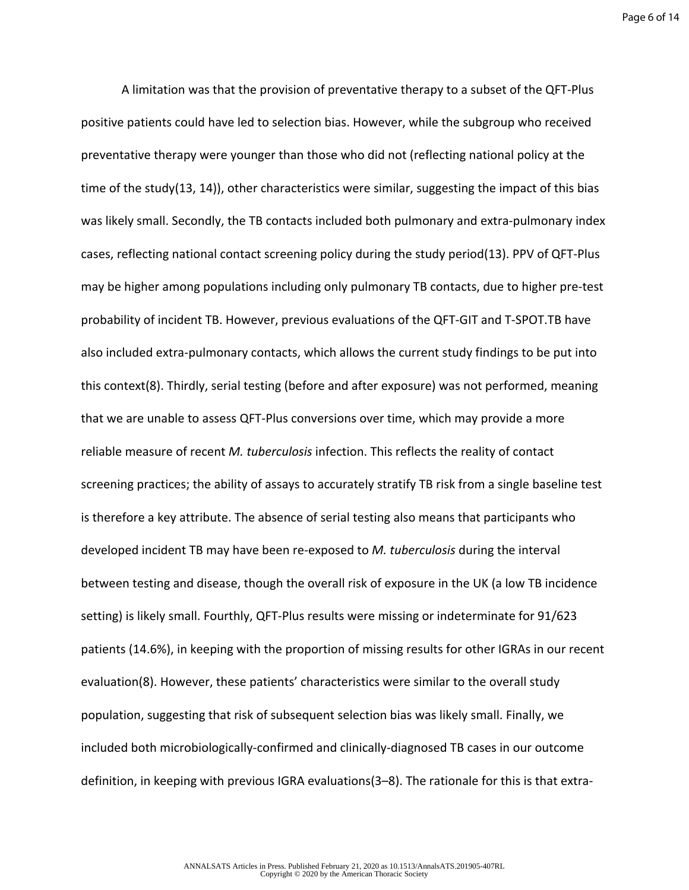A limitation was that the provision of preventative therapy to a subset of the QFT-Plus positive patients could have led to selection bias. However, while the subgroup who received preventative therapy were younger than those who did not (reflecting national policy at the time of the study(13, 14)), other characteristics were similar, suggesting the impact of this bias was likely small. Secondly, the TB contacts included both pulmonary and extra-pulmonary index cases, reflecting national contact screening policy during the study period(13). PPV of QFT-Plus may be higher among populations including only pulmonary TB contacts, due to higher pre-test probability of incident TB. However, previous evaluations of the QFT-GIT and T-SPOT.TB have also included extra-pulmonary contacts, which allows the current study findings to be put into this context(8). Thirdly, serial testing (before and after exposure) was not performed, meaning that we are unable to assess QFT-Plus conversions over time, which may provide a more reliable measure of recent *M. tuberculosis* infection. This reflects the reality of contact screening practices; the ability of assays to accurately stratify TB risk from a single baseline test is therefore a key attribute. The absence of serial testing also means that participants who developed incident TB may have been re-exposed to *M. tuberculosis* during the interval between testing and disease, though the overall risk of exposure in the UK (a low TB incidence setting) is likely small. Fourthly, QFT-Plus results were missing or indeterminate for 91/623 patients (14.6%), in keeping with the proportion of missing results for other IGRAs in our recent evaluation(8). However, these patients' characteristics were similar to the overall study population, suggesting that risk of subsequent selection bias was likely small. Finally, we included both microbiologically-confirmed and clinically-diagnosed TB cases in our outcome definition, in keeping with previous IGRA evaluations(3–8). The rationale for this is that extra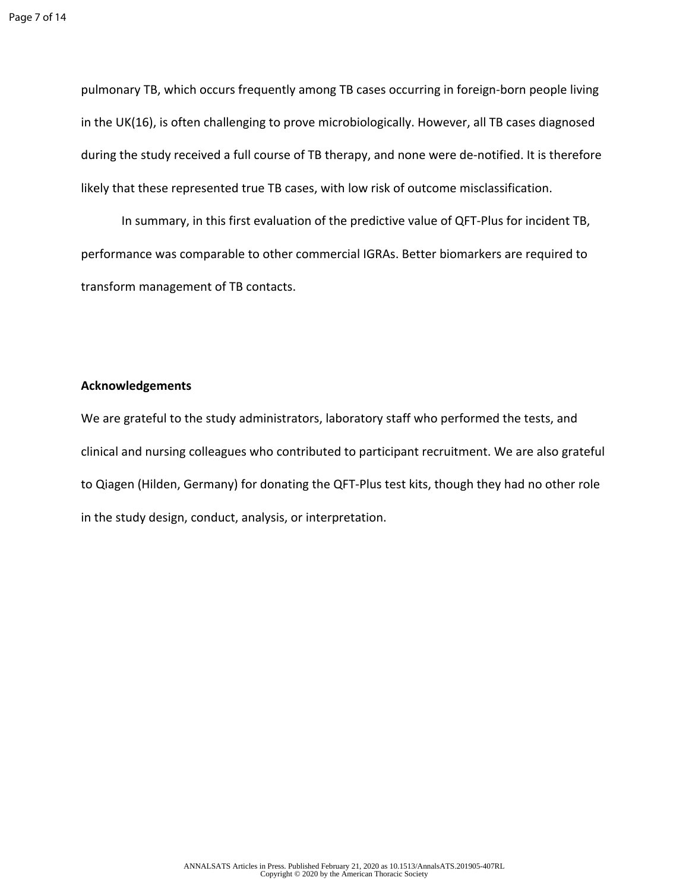pulmonary TB, which occurs frequently among TB cases occurring in foreign-born people living in the UK(16), is often challenging to prove microbiologically. However, all TB cases diagnosed during the study received a full course of TB therapy, and none were de-notified. It is therefore likely that these represented true TB cases, with low risk of outcome misclassification.

In summary, in this first evaluation of the predictive value of QFT-Plus for incident TB, performance was comparable to other commercial IGRAs. Better biomarkers are required to transform management of TB contacts.

### **Acknowledgements**

We are grateful to the study administrators, laboratory staff who performed the tests, and clinical and nursing colleagues who contributed to participant recruitment. We are also grateful to Qiagen (Hilden, Germany) for donating the QFT-Plus test kits, though they had no other role in the study design, conduct, analysis, or interpretation.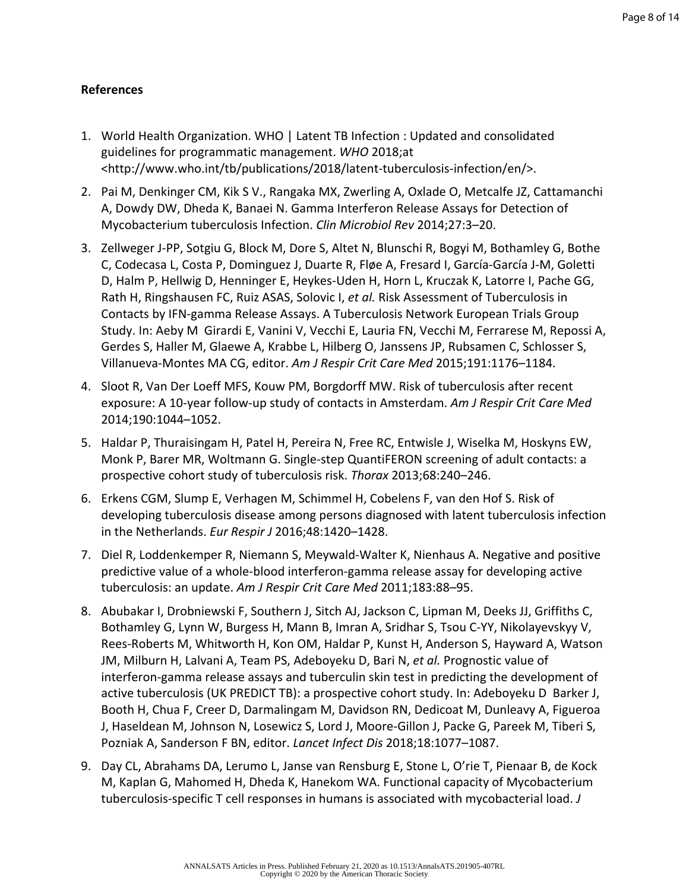## **References**

- 1. World Health Organization. WHO | Latent TB Infection : Updated and consolidated guidelines for programmatic management. *WHO* 2018;at <http://www.who.int/tb/publications/2018/latent-tuberculosis-infection/en/>.
- 2. Pai M, Denkinger CM, Kik S V., Rangaka MX, Zwerling A, Oxlade O, Metcalfe JZ, Cattamanchi A, Dowdy DW, Dheda K, Banaei N. Gamma Interferon Release Assays for Detection of Mycobacterium tuberculosis Infection. *Clin Microbiol Rev* 2014;27:3–20.
- 3. Zellweger J-PP, Sotgiu G, Block M, Dore S, Altet N, Blunschi R, Bogyi M, Bothamley G, Bothe C, Codecasa L, Costa P, Dominguez J, Duarte R, Fløe A, Fresard I, García-García J-M, Goletti D, Halm P, Hellwig D, Henninger E, Heykes-Uden H, Horn L, Kruczak K, Latorre I, Pache GG, Rath H, Ringshausen FC, Ruiz ASAS, Solovic I, *et al.* Risk Assessment of Tuberculosis in Contacts by IFN-gamma Release Assays. A Tuberculosis Network European Trials Group Study. In: Aeby M Girardi E, Vanini V, Vecchi E, Lauria FN, Vecchi M, Ferrarese M, Repossi A, Gerdes S, Haller M, Glaewe A, Krabbe L, Hilberg O, Janssens JP, Rubsamen C, Schlosser S, Villanueva-Montes MA CG, editor. *Am J Respir Crit Care Med* 2015;191:1176–1184.
- 4. Sloot R, Van Der Loeff MFS, Kouw PM, Borgdorff MW. Risk of tuberculosis after recent exposure: A 10-year follow-up study of contacts in Amsterdam. *Am J Respir Crit Care Med* 2014;190:1044–1052.
- 5. Haldar P, Thuraisingam H, Patel H, Pereira N, Free RC, Entwisle J, Wiselka M, Hoskyns EW, Monk P, Barer MR, Woltmann G. Single-step QuantiFERON screening of adult contacts: a prospective cohort study of tuberculosis risk. *Thorax* 2013;68:240–246.
- 6. Erkens CGM, Slump E, Verhagen M, Schimmel H, Cobelens F, van den Hof S. Risk of developing tuberculosis disease among persons diagnosed with latent tuberculosis infection in the Netherlands. *Eur Respir J* 2016;48:1420–1428.
- 7. Diel R, Loddenkemper R, Niemann S, Meywald-Walter K, Nienhaus A. Negative and positive predictive value of a whole-blood interferon-gamma release assay for developing active tuberculosis: an update. *Am J Respir Crit Care Med* 2011;183:88–95.
- 8. Abubakar I, Drobniewski F, Southern J, Sitch AJ, Jackson C, Lipman M, Deeks JJ, Griffiths C, Bothamley G, Lynn W, Burgess H, Mann B, Imran A, Sridhar S, Tsou C-YY, Nikolayevskyy V, Rees-Roberts M, Whitworth H, Kon OM, Haldar P, Kunst H, Anderson S, Hayward A, Watson JM, Milburn H, Lalvani A, Team PS, Adeboyeku D, Bari N, *et al.* Prognostic value of interferon-gamma release assays and tuberculin skin test in predicting the development of active tuberculosis (UK PREDICT TB): a prospective cohort study. In: Adeboyeku D Barker J, Booth H, Chua F, Creer D, Darmalingam M, Davidson RN, Dedicoat M, Dunleavy A, Figueroa J, Haseldean M, Johnson N, Losewicz S, Lord J, Moore-Gillon J, Packe G, Pareek M, Tiberi S, Pozniak A, Sanderson F BN, editor. *Lancet Infect Dis* 2018;18:1077–1087.
- 9. Day CL, Abrahams DA, Lerumo L, Janse van Rensburg E, Stone L, O'rie T, Pienaar B, de Kock M, Kaplan G, Mahomed H, Dheda K, Hanekom WA. Functional capacity of Mycobacterium tuberculosis-specific T cell responses in humans is associated with mycobacterial load. *J*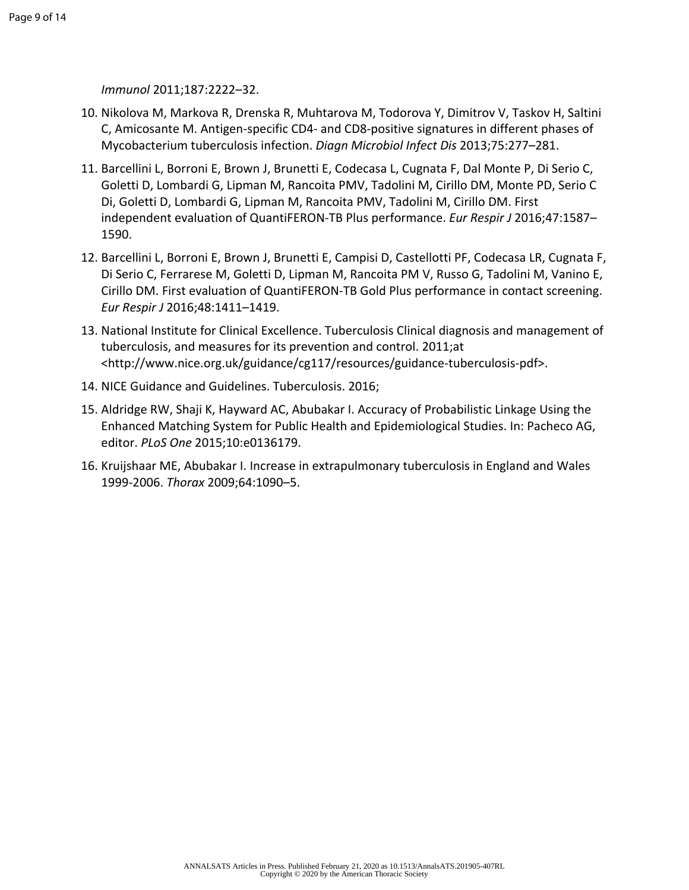*Immunol* 2011;187:2222–32.

- 10. Nikolova M, Markova R, Drenska R, Muhtarova M, Todorova Y, Dimitrov V, Taskov H, Saltini C, Amicosante M. Antigen-specific CD4- and CD8-positive signatures in different phases of Mycobacterium tuberculosis infection. *Diagn Microbiol Infect Dis* 2013;75:277–281.
- 11. Barcellini L, Borroni E, Brown J, Brunetti E, Codecasa L, Cugnata F, Dal Monte P, Di Serio C, Goletti D, Lombardi G, Lipman M, Rancoita PMV, Tadolini M, Cirillo DM, Monte PD, Serio C Di, Goletti D, Lombardi G, Lipman M, Rancoita PMV, Tadolini M, Cirillo DM. First independent evaluation of QuantiFERON-TB Plus performance. *Eur Respir J* 2016;47:1587– 1590.
- 12. Barcellini L, Borroni E, Brown J, Brunetti E, Campisi D, Castellotti PF, Codecasa LR, Cugnata F, Di Serio C, Ferrarese M, Goletti D, Lipman M, Rancoita PM V, Russo G, Tadolini M, Vanino E, Cirillo DM. First evaluation of QuantiFERON-TB Gold Plus performance in contact screening. *Eur Respir J* 2016;48:1411–1419.
- 13. National Institute for Clinical Excellence. Tuberculosis Clinical diagnosis and management of tuberculosis, and measures for its prevention and control. 2011;at <http://www.nice.org.uk/guidance/cg117/resources/guidance-tuberculosis-pdf>.
- 14. NICE Guidance and Guidelines. Tuberculosis. 2016;
- 15. Aldridge RW, Shaji K, Hayward AC, Abubakar I. Accuracy of Probabilistic Linkage Using the Enhanced Matching System for Public Health and Epidemiological Studies. In: Pacheco AG, editor. *PLoS One* 2015;10:e0136179.
- 16. Kruijshaar ME, Abubakar I. Increase in extrapulmonary tuberculosis in England and Wales 1999-2006. *Thorax* 2009;64:1090–5.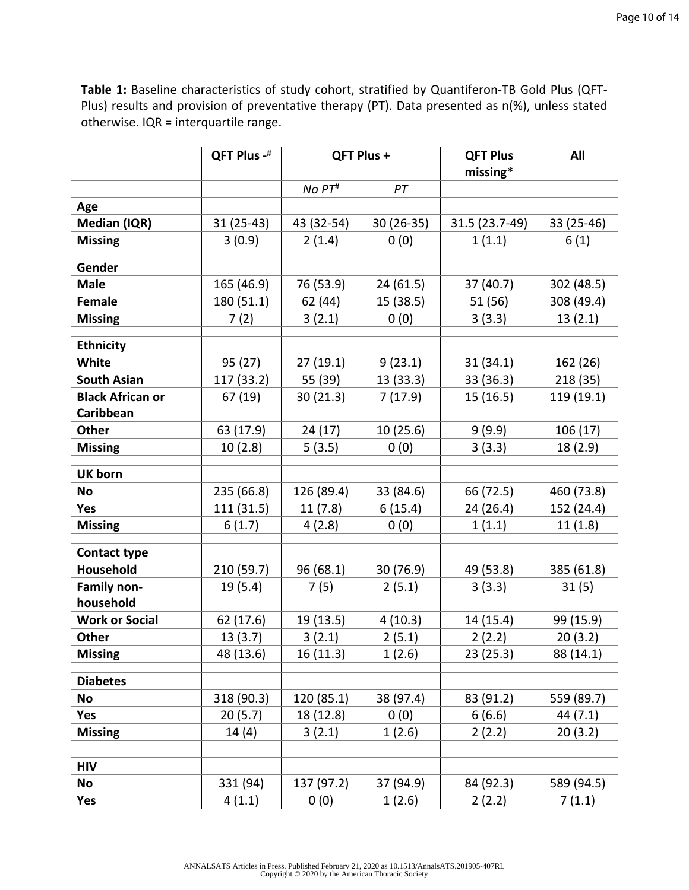**Table 1:** Baseline characteristics of study cohort, stratified by Quantiferon-TB Gold Plus (QFT-Plus) results and provision of preventative therapy (PT). Data presented as n(%), unless stated otherwise. IQR = interquartile range.

|                         | QFT Plus -# | QFT Plus +           |            | <b>QFT Plus</b><br>missing* | All        |
|-------------------------|-------------|----------------------|------------|-----------------------------|------------|
|                         |             | $No PT$ <sup>#</sup> | PT         |                             |            |
| Age                     |             |                      |            |                             |            |
| Median (IQR)            | $31(25-43)$ | 43 (32-54)           | 30 (26-35) | 31.5 (23.7-49)              | 33 (25-46) |
| <b>Missing</b>          | 3(0.9)      | 2(1.4)               | 0(0)       | 1(1.1)                      | 6(1)       |
|                         |             |                      |            |                             |            |
| Gender                  |             |                      |            |                             |            |
| <b>Male</b>             | 165 (46.9)  | 76 (53.9)            | 24 (61.5)  | 37 (40.7)                   | 302 (48.5) |
| <b>Female</b>           | 180 (51.1)  | 62 (44)              | 15 (38.5)  | 51 (56)                     | 308 (49.4) |
| <b>Missing</b>          | 7(2)        | 3(2.1)               | 0(0)       | 3(3.3)                      | 13(2.1)    |
| <b>Ethnicity</b>        |             |                      |            |                             |            |
| White                   | 95 (27)     | 27(19.1)             | 9(23.1)    | 31(34.1)                    | 162 (26)   |
| <b>South Asian</b>      | 117 (33.2)  | 55 (39)              | 13 (33.3)  | 33 (36.3)                   | 218 (35)   |
| <b>Black African or</b> | 67 (19)     | 30(21.3)             | 7(17.9)    | 15(16.5)                    | 119 (19.1) |
| Caribbean               |             |                      |            |                             |            |
| Other                   | 63 (17.9)   | 24(17)               | 10(25.6)   | 9(9.9)                      | 106 (17)   |
| <b>Missing</b>          | 10(2.8)     | 5(3.5)               | 0(0)       | 3(3.3)                      | 18 (2.9)   |
| <b>UK born</b>          |             |                      |            |                             |            |
| <b>No</b>               | 235 (66.8)  | 126 (89.4)           | 33 (84.6)  | 66 (72.5)                   | 460 (73.8) |
| <b>Yes</b>              | 111 (31.5)  | 11(7.8)              | 6(15.4)    | 24 (26.4)                   | 152 (24.4) |
| <b>Missing</b>          | 6(1.7)      | 4(2.8)               | 0(0)       | 1(1.1)                      | 11(1.8)    |
|                         |             |                      |            |                             |            |
| <b>Contact type</b>     |             |                      |            |                             |            |
| Household               | 210 (59.7)  | 96 (68.1)            | 30 (76.9)  | 49 (53.8)                   | 385 (61.8) |
| <b>Family non-</b>      | 19 (5.4)    | 7(5)                 | 2(5.1)     | 3(3.3)                      | 31(5)      |
| household               |             |                      |            |                             |            |
| <b>Work or Social</b>   | 62(17.6)    | 19 (13.5)            | 4(10.3)    | 14 (15.4)                   | 99 (15.9)  |
| Other                   | 13(3.7)     | 3(2.1)               | 2(5.1)     | 2(2.2)                      | 20(3.2)    |
| <b>Missing</b>          | 48 (13.6)   | 16 (11.3)            | 1(2.6)     | 23(25.3)                    | 88 (14.1)  |
| <b>Diabetes</b>         |             |                      |            |                             |            |
| No                      | 318 (90.3)  | 120 (85.1)           | 38 (97.4)  | 83 (91.2)                   | 559 (89.7) |
| <b>Yes</b>              | 20(5.7)     | 18 (12.8)            | 0(0)       | 6(6.6)                      | 44(7.1)    |
| <b>Missing</b>          | 14(4)       | 3(2.1)               | 1(2.6)     | 2(2.2)                      | 20(3.2)    |
|                         |             |                      |            |                             |            |
| <b>HIV</b>              |             |                      |            |                             |            |
| No                      | 331 (94)    | 137 (97.2)           | 37 (94.9)  | 84 (92.3)                   | 589 (94.5) |
| Yes                     | 4(1.1)      | 0(0)                 | 1(2.6)     | 2(2.2)                      | 7(1.1)     |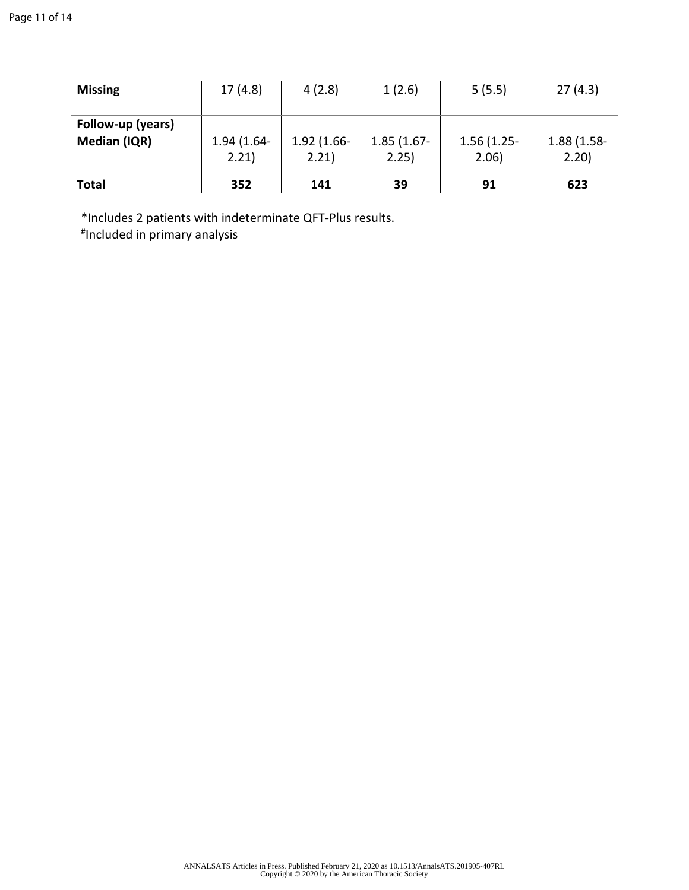| <b>Missing</b>    | 17(4.8)     | 4(2.8)        | 1(2.6)        | 5(5.5)        | 27(4.3)       |
|-------------------|-------------|---------------|---------------|---------------|---------------|
|                   |             |               |               |               |               |
| Follow-up (years) |             |               |               |               |               |
| Median (IQR)      | 1.94 (1.64- | $1.92(1.66 -$ | $1.85(1.67 -$ | $1.56(1.25 -$ | $1.88(1.58 -$ |
|                   | 2.21)       | 2.21)         | 2.25)         | 2.06)         | 2.20)         |
|                   |             |               |               |               |               |
| <b>Total</b>      | 352         | 141           | 39            | 91            | 623           |

\*Includes 2 patients with indeterminate QFT-Plus results. # Included in primary analysis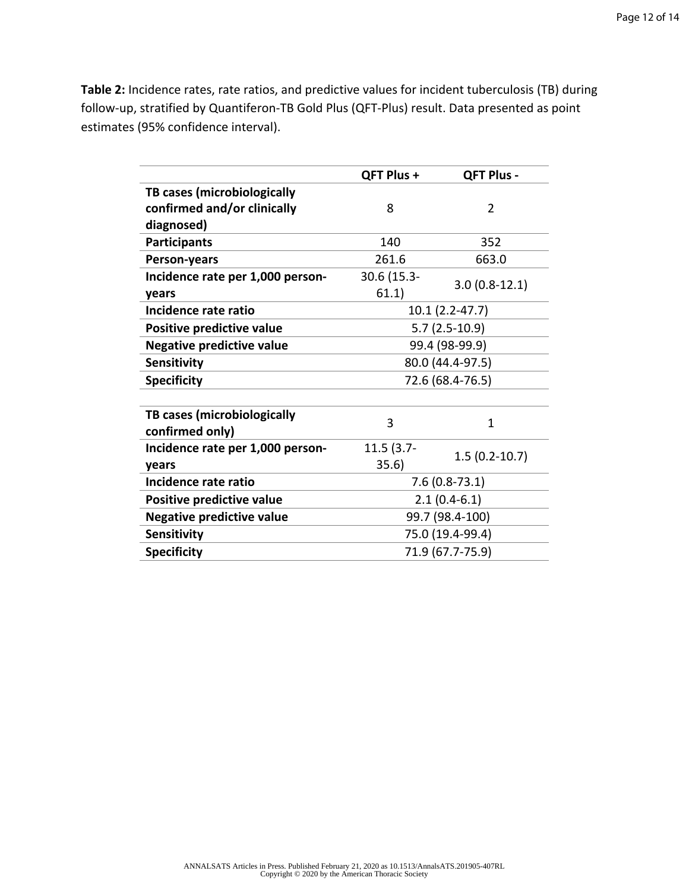**Table 2:** Incidence rates, rate ratios, and predictive values for incident tuberculosis (TB) during follow-up, stratified by Quantiferon-TB Gold Plus (QFT-Plus) result. Data presented as point estimates (95% confidence interval).

|                                    | QFT Plus +       | <b>QFT Plus -</b> |  |
|------------------------------------|------------------|-------------------|--|
| <b>TB cases (microbiologically</b> |                  |                   |  |
| confirmed and/or clinically        | 8                | $\overline{2}$    |  |
| diagnosed)                         |                  |                   |  |
| <b>Participants</b>                | 140              | 352               |  |
| Person-years                       | 261.6            | 663.0             |  |
| Incidence rate per 1,000 person-   | 30.6 (15.3-      |                   |  |
| years                              | 61.1)            | $3.0(0.8-12.1)$   |  |
| Incidence rate ratio               | $10.1(2.2-47.7)$ |                   |  |
| Positive predictive value          | $5.7(2.5-10.9)$  |                   |  |
| <b>Negative predictive value</b>   | 99.4 (98-99.9)   |                   |  |
| <b>Sensitivity</b>                 | 80.0 (44.4-97.5) |                   |  |
| <b>Specificity</b>                 | 72.6 (68.4-76.5) |                   |  |
|                                    |                  |                   |  |
| <b>TB cases (microbiologically</b> | 3                | 1                 |  |
| confirmed only)                    |                  |                   |  |
| Incidence rate per 1,000 person-   | 11.5 (3.7-       | $1.5(0.2 - 10.7)$ |  |
| years                              | 35.6)            |                   |  |
| Incidence rate ratio               | $7.6(0.8-73.1)$  |                   |  |
| Positive predictive value          | $2.1(0.4-6.1)$   |                   |  |
| <b>Negative predictive value</b>   | 99.7 (98.4-100)  |                   |  |
| Sensitivity                        | 75.0 (19.4-99.4) |                   |  |
| <b>Specificity</b>                 | 71.9 (67.7-75.9) |                   |  |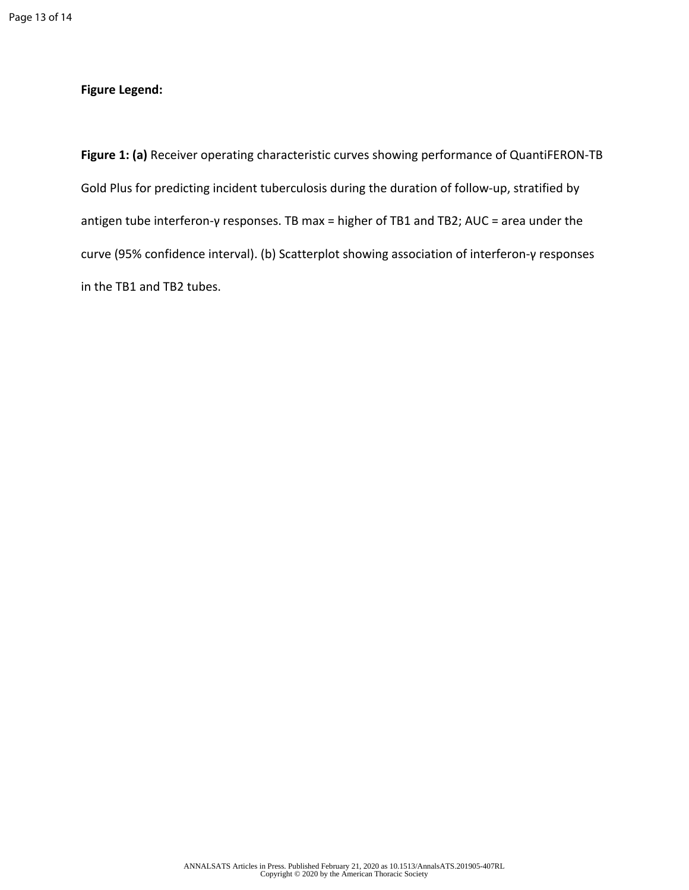# **Figure Legend:**

Figure 1: (a) Receiver operating characteristic curves showing performance of QuantiFERON-TB Gold Plus for predicting incident tuberculosis during the duration of follow-up, stratified by antigen tube interferon-γ responses. TB max = higher of TB1 and TB2; AUC = area under the curve (95% confidence interval). (b) Scatterplot showing association of interferon-γ responses in the TB1 and TB2 tubes.